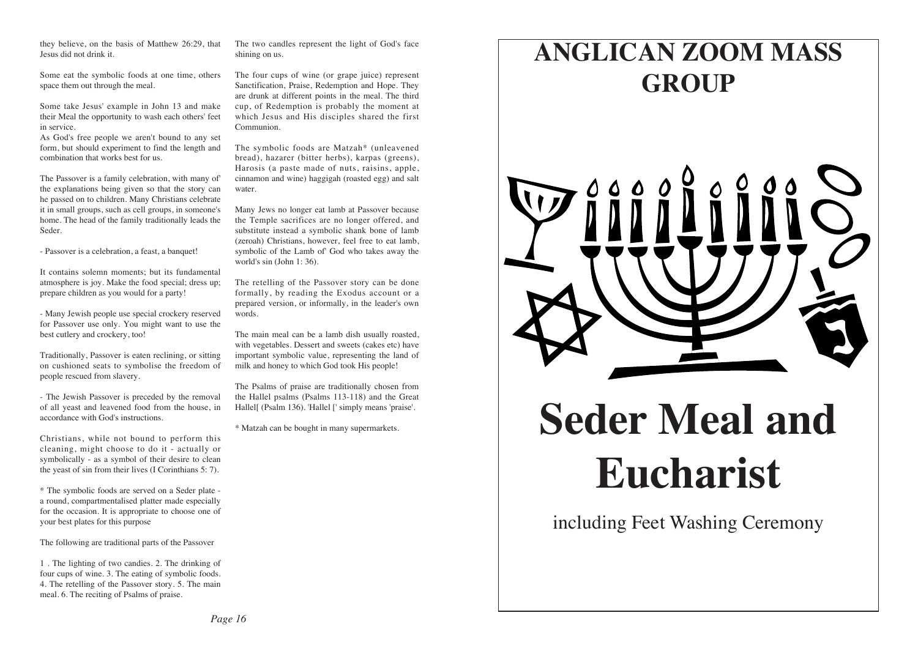they believe, on the basis of Matthew 26:29, that Jesus did not drink it.

Some eat the symbolic foods at one time, others space them out through the meal.

Some take Jesus' example in John 13 and make their Meal the opportunity to wash each others' feet in service.

As God's free people we aren't bound to any set form, but should experiment to find the length and combination that works best for us.

The Passover is a family celebration, with many of' the explanations being given so that the story can he passed on to children. Many Christians celebrate it in small groups, such as cell groups, in someone's home. The head of the family traditionally leads the Seder.

- Passover is a celebration, a feast, a banquet!

It contains solemn moments; but its fundamental atmosphere is joy. Make the food special; dress up; prepare children as you would for a party!

- Many Jewish people use special crockery reserved for Passover use only. You might want to use the best cutlery and crockery, too!

Traditionally, Passover is eaten reclining, or sitting on cushioned seats to symbolise the freedom of people rescued from slavery.

- The Jewish Passover is preceded by the removal of all yeast and leavened food from the house, in accordance with God's instructions.

Christians, while not bound to perform this cleaning, might choose to do it - actually or symbolically - as a symbol of their desire to clean the yeast of sin from their lives (I Corinthians 5: 7).

\* The symbolic foods are served on a Seder plate a round, compartmentalised platter made especially for the occasion. It is appropriate to choose one of your best plates for this purpose

The following are traditional parts of the Passover

1 . The lighting of two candies. 2. The drinking of four cups of wine. 3. The eating of symbolic foods. 4. The retelling of the Passover story. 5. The main meal. 6. The reciting of Psalms of praise.

The two candles represent the light of God's face shining on us.

The four cups of wine (or grape juice) represent Sanctification, Praise, Redemption and Hope. They are drunk at different points in the meal. The third cup, of Redemption is probably the moment at which Jesus and His disciples shared the first Communion.

The symbolic foods are Matzah\* (unleavened bread), hazarer (bitter herbs), karpas (greens), Harosis (a paste made of nuts, raisins, apple, cinnamon and wine) haggigah (roasted egg) and salt water.

Many Jews no longer eat lamb at Passover because the Temple sacrifices are no longer offered, and substitute instead a symbolic shank bone of lamb (zeroah) Christians, however, feel free to eat lamb, symbolic of the Lamb of' God who takes away the world's sin (John 1: 36).

The retelling of the Passover story can be done formally, by reading the Exodus account or a prepared version, or informally, in the leader's own words.

The main meal can be a lamb dish usually roasted, with vegetables. Dessert and sweets (cakes etc) have important symbolic value, representing the land of milk and honey to which God took His people!

The Psalms of praise are traditionally chosen from the Hallel psalms (Psalms 113-118) and the Great Hallel[ (Psalm 136). 'Hallel [' simply means 'praise'.

\* Matzah can be bought in many supermarkets.

# **ANGLICAN ZOOM MASS GROUP**



# **Seder Meal and Eucharist**

including Feet Washing Ceremony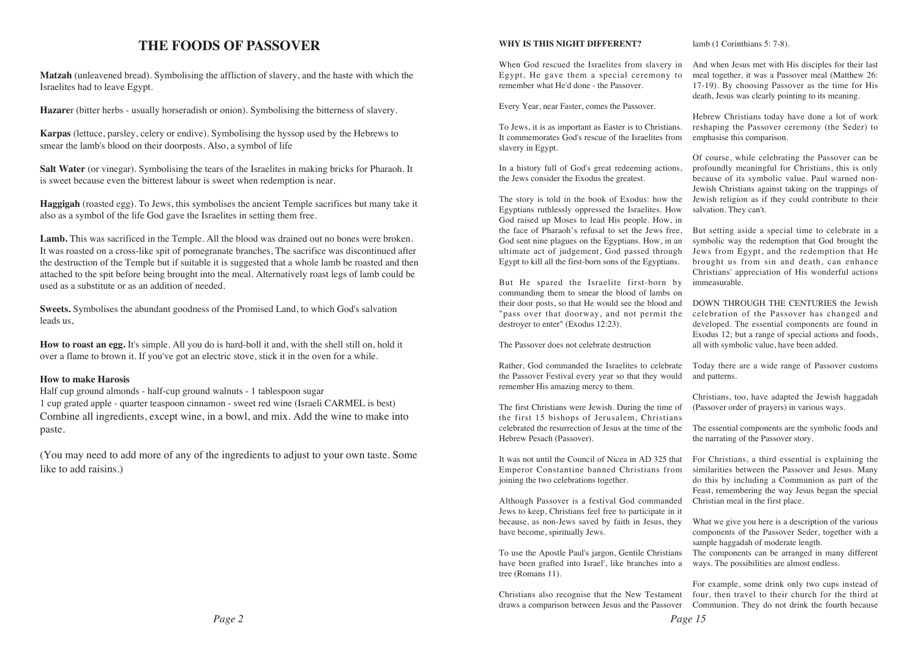#### **THE FOODS OF PASSOVER**

**Matzah** (unleavened bread). Symbolising the affliction of slavery, and the haste with which the Israelites had to leave Egypt.

**Hazare**r (bitter herbs - usually horseradish or onion). Symbolising the bitterness of slavery.

**Karpas** (lettuce, parsley, celery or endive). Symbolising the hyssop used by the Hebrews to smear the lamb's blood on their doorposts. Also, a symbol of life

**Salt Water** (or vinegar). Symbolising the tears of the Israelites in making bricks for Pharaoh. It is sweet because even the bitterest labour is sweet when redemption is near.

**Haggigah** (roasted egg). To Jews, this symbolises the ancient Temple sacrifices but many take it also as a symbol of the life God gave the Israelites in setting them free.

**Lamb.** This was sacrificed in the Temple. All the blood was drained out no bones were broken. It was roasted on a cross-like spit of pomegranate branches, The sacrifice was discontinued after the destruction of the Temple but if suitable it is suggested that a whole lamb be roasted and then attached to the spit before being brought into the meal. Alternatively roast legs of lamb could be used as a substitute or as an addition of needed.

**Sweets.** Symbolises the abundant goodness of the Promised Land, to which God's salvation leads us,

**How to roast an egg.** It's simple. All you do is hard-boll it and, with the shell still on, hold it over a flame to brown it. If you've got an electric stove, stick it in the oven for a while.

#### **How to make Harosis**

Half cup ground almonds - half-cup ground walnuts - 1 tablespoon sugar 1 cup grated apple - quarter teaspoon cinnamon - sweet red wine (Israeli CARMEL is best) Combine all ingredients, except wine, in a bowl, and mix. Add the wine to make into paste.

(You may need to add more of any of the ingredients to adjust to your own taste. Some like to add raisins.)

#### **WHY IS THIS NIGHT DIFFERENT?**

When God rescued the Israelites from slavery in Egypt, He gave them a special ceremony to remember what He'd done - the Passover.

Every Year, near Faster, comes the Passover.

To Jews, it is as important as Easter is to Christians. It commemorates God's rescue of the Israelites from slavery in Egypt.

In a history full of God's great redeeming actions, the Jews consider the Exodus the greatest.

The story is told in the book of Exodus: how the Egyptians ruthlessly oppressed the Israelites. How God raised up Moses to lead His people. How, in the face of Pharaoh's refusal to set the Jews free, God sent nine plagues on the Egyptians. How, in an ultimate act of judgement, God passed through Egypt to kill all the first-born sons of the Egyptians.

But He spared the Israelite first-born by commanding them to smear the blood of lambs on their door posts, so that He would see the blood and "pass over that doorway, and not permit the destroyer to enter" (Exodus 12:23).

The Passover does not celebrate destruction

Rather, God commanded the Israelites to celebrate the Passover Festival every year so that they would remember His amazing mercy to them.

The first Christians were Jewish. During the time of the first 15 bishops of Jerusalem, Christians celebrated the resurrection of Jesus at the time of the Hebrew Pesach (Passover).

It was not until the Council of Nicea in AD 325 that Emperor Constantine banned Christians from joining the two celebrations together.

Although Passover is a festival God commanded Jews to keep, Christians feel free to participate in it because, as non-Jews saved by faith in Jesus, they have become, spiritually Jews.

To use the Apostle Paul's jargon, Gentile Christians have been grafted into Israel', like branches into a tree (Romans 11).

Christians also recognise that the New Testament draws a comparison between Jesus and the Passover

lamb (1 Corinthians 5: 7-8).

And when Jesus met with His disciples for their last meal together, it was a Passover meal (Matthew 26: 17-19). By choosing Passover as the time for His death, Jesus was clearly pointing to its meaning.

Hebrew Christians today have done a lot of work reshaping the Passover ceremony (the Seder) to emphasise this comparison.

Of course, while celebrating the Passover can be profoundly meaningful for Christians, this is only because of its symbolic value. Paul warned non-Jewish Christians against taking on the trappings of Jewish religion as if they could contribute to their salvation. They can't.

But setting aside a special time to celebrate in a symbolic way the redemption that God brought the Jews from Egypt, and the redemption that He brought us from sin and death, can enhance Christians' appreciation of His wonderful actions immeasurable.

DOWN THROUGH THE CENTURIES the Jewish celebration of the Passover has changed and developed. The essential components are found in Exodus 12; but a range of special actions and foods, all with symbolic value, have been added.

Today there are a wide range of Passover customs and patterns.

Christians, too, have adapted the Jewish haggadah (Passover order of prayers) in various ways.

The essential components are the symbolic foods and the narrating of the Passover story.

For Christians, a third essential is explaining the similarities between the Passover and Jesus. Many do this by including a Communion as part of the Feast, remembering the way Jesus began the special Christian meal in the first place.

What we give you here is a description of the various components of the Passover Seder, together with a sample haggadah of moderate length.

The components can be arranged in many different ways. The possibilities are almost endless.

For example, some drink only two cups instead of four, then travel to their church for the third at Communion. They do not drink the fourth because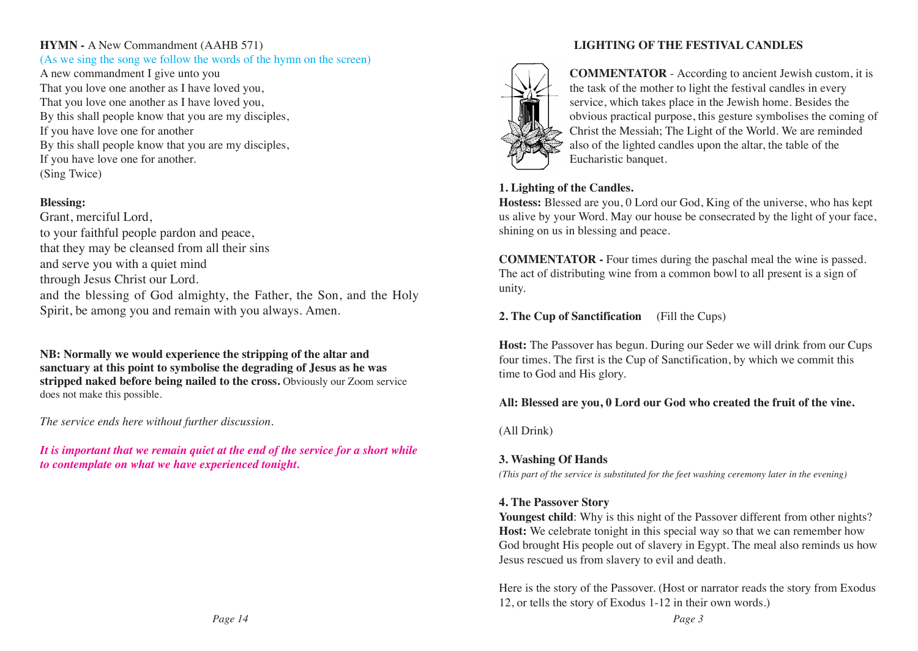#### **HYMN -** A New Commandment (AAHB 571)

#### (As we sing the song we follow the words of the hymn on the screen)

A new commandment I give unto you That you love one another as I have loved you, That you love one another as I have loved you, By this shall people know that you are my disciples, If you have love one for another By this shall people know that you are my disciples, If you have love one for another. (Sing Twice)

#### **Blessing:**

Grant, merciful Lord, to your faithful people pardon and peace, that they may be cleansed from all their sins and serve you with a quiet mind through Jesus Christ our Lord. and the blessing of God almighty, the Father, the Son, and the Holy Spirit, be among you and remain with you always. Amen.

**NB: Normally we would experience the stripping of the altar and sanctuary at this point to symbolise the degrading of Jesus as he was stripped naked before being nailed to the cross.** Obviously our Zoom service does not make this possible.

*The service ends here without further discussion.* 

*It is important that we remain quiet at the end of the service for a short while to contemplate on what we have experienced tonight.* 

#### **LIGHTING OF THE FESTIVAL CANDLES**



**COMMENTATOR** - According to ancient Jewish custom, it is the task of the mother to light the festival candles in every service, which takes place in the Jewish home. Besides the obvious practical purpose, this gesture symbolises the coming of Christ the Messiah; The Light of the World. We are reminded also of the lighted candles upon the altar, the table of the Eucharistic banquet.

#### **1. Lighting of the Candles.**

**Hostess:** Blessed are you, 0 Lord our God, King of the universe, who has kept us alive by your Word. May our house be consecrated by the light of your face, shining on us in blessing and peace.

**COMMENTATOR -** Four times during the paschal meal the wine is passed. The act of distributing wine from a common bowl to all present is a sign of unity.

#### **2. The Cup of Sanctification** (Fill the Cups)

**Host:** The Passover has begun. During our Seder we will drink from our Cups four times. The first is the Cup of Sanctification, by which we commit this time to God and His glory.

#### **All: Blessed are you, 0 Lord our God who created the fruit of the vine.**

(All Drink)

#### **3. Washing Of Hands**

*(This part of the service is substituted for the feet washing ceremony later in the evening)*

#### **4. The Passover Story**

Youngest child: Why is this night of the Passover different from other nights? **Host:** We celebrate tonight in this special way so that we can remember how God brought His people out of slavery in Egypt. The meal also reminds us how Jesus rescued us from slavery to evil and death.

Here is the story of the Passover. (Host or narrator reads the story from Exodus 12, or tells the story of Exodus 1-12 in their own words.)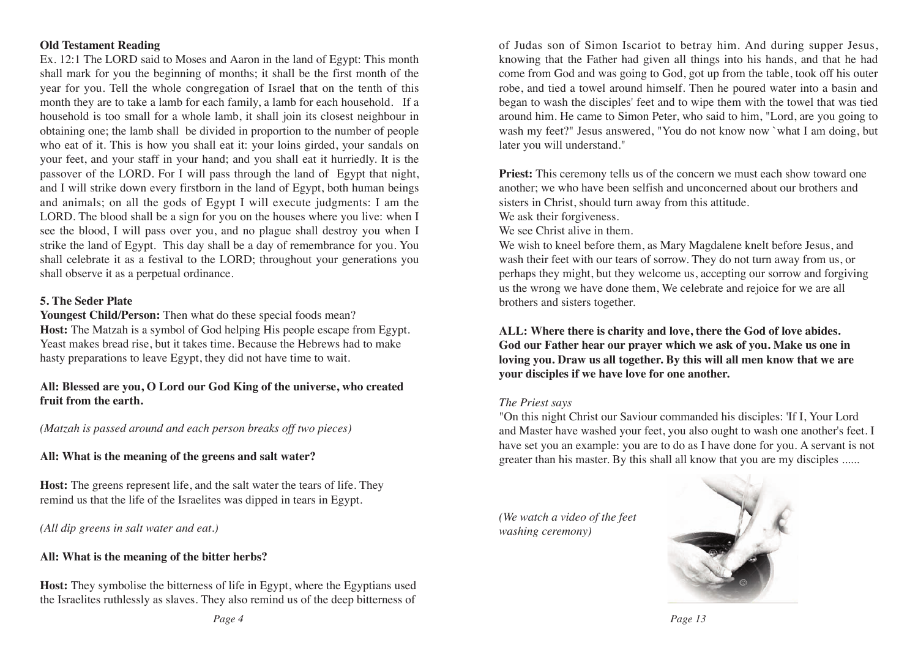#### **Old Testament Reading**

Ex. 12:1 The LORD said to Moses and Aaron in the land of Egypt: This month shall mark for you the beginning of months; it shall be the first month of the year for you. Tell the whole congregation of Israel that on the tenth of this month they are to take a lamb for each family, a lamb for each household. If a household is too small for a whole lamb, it shall join its closest neighbour in obtaining one; the lamb shall be divided in proportion to the number of people who eat of it. This is how you shall eat it: your loins girded, your sandals on your feet, and your staff in your hand; and you shall eat it hurriedly. It is the passover of the LORD. For I will pass through the land of Egypt that night, and I will strike down every firstborn in the land of Egypt, both human beings and animals; on all the gods of Egypt I will execute judgments: I am the LORD. The blood shall be a sign for you on the houses where you live: when I see the blood, I will pass over you, and no plague shall destroy you when I strike the land of Egypt. This day shall be a day of remembrance for you. You shall celebrate it as a festival to the LORD; throughout your generations you shall observe it as a perpetual ordinance.

#### **5. The Seder Plate**

**Youngest Child/Person:** Then what do these special foods mean? **Host:** The Matzah is a symbol of God helping His people escape from Egypt. Yeast makes bread rise, but it takes time. Because the Hebrews had to make hasty preparations to leave Egypt, they did not have time to wait.

#### **All: Blessed are you, O Lord our God King of the universe, who created fruit from the earth.**

*(Matzah is passed around and each person breaks off two pieces)*

#### **All: What is the meaning of the greens and salt water?**

**Host:** The greens represent life, and the salt water the tears of life. They remind us that the life of the Israelites was dipped in tears in Egypt.

*(All dip greens in salt water and eat.)*

## **All: What is the meaning of the bitter herbs?**

**Host:** They symbolise the bitterness of life in Egypt, where the Egyptians used the Israelites ruthlessly as slaves. They also remind us of the deep bitterness of of Judas son of Simon Iscariot to betray him. And during supper Jesus, knowing that the Father had given all things into his hands, and that he had come from God and was going to God, got up from the table, took off his outer robe, and tied a towel around himself. Then he poured water into a basin and began to wash the disciples' feet and to wipe them with the towel that was tied around him. He came to Simon Peter, who said to him, "Lord, are you going to wash my feet?" Jesus answered, "You do not know now `what I am doing, but later you will understand."

**Priest:** This ceremony tells us of the concern we must each show toward one another; we who have been selfish and unconcerned about our brothers and sisters in Christ, should turn away from this attitude.

We ask their forgiveness.

We see Christ alive in them.

We wish to kneel before them, as Mary Magdalene knelt before Jesus, and wash their feet with our tears of sorrow. They do not turn away from us, or perhaps they might, but they welcome us, accepting our sorrow and forgiving us the wrong we have done them, We celebrate and rejoice for we are all brothers and sisters together.

**ALL: Where there is charity and love, there the God of love abides. God our Father hear our prayer which we ask of you. Make us one in loving you. Draw us all together. By this will all men know that we are your disciples if we have love for one another.** 

#### *The Priest says*

"On this night Christ our Saviour commanded his disciples: 'If I, Your Lord and Master have washed your feet, you also ought to wash one another's feet. I have set you an example: you are to do as I have done for you. A servant is not greater than his master. By this shall all know that you are my disciples ......

*(We watch a video of the feet washing ceremony)*

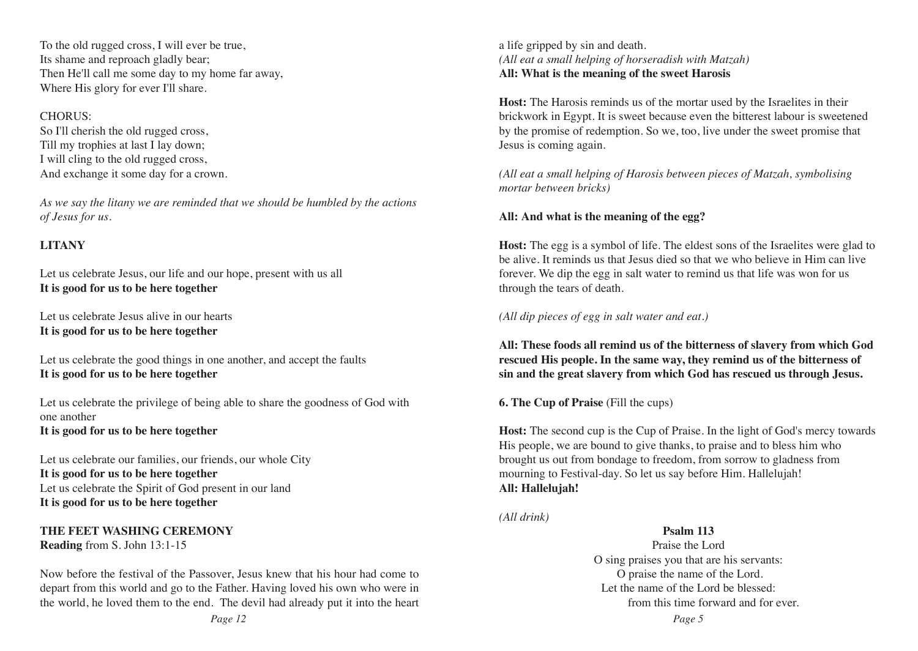To the old rugged cross, I will ever be true, Its shame and reproach gladly bear; Then He'll call me some day to my home far away, Where His glory for ever I'll share.

#### CHORUS:

So I'll cherish the old rugged cross, Till my trophies at last I lay down; I will cling to the old rugged cross, And exchange it some day for a crown.

*As we say the litany we are reminded that we should be humbled by the actions of Jesus for us.* 

#### **LITANY**

Let us celebrate Jesus, our life and our hope, present with us all **It is good for us to be here together** 

Let us celebrate Jesus alive in our hearts **It is good for us to be here together** 

Let us celebrate the good things in one another, and accept the faults **It is good for us to be here together** 

Let us celebrate the privilege of being able to share the goodness of God with one another **It is good for us to be here together** 

Let us celebrate our families, our friends, our whole City **It is good for us to be here together**  Let us celebrate the Spirit of God present in our land **It is good for us to be here together** 

#### **THE FEET WASHING CEREMONY Reading** from S. John 13:1-15

Now before the festival of the Passover, Jesus knew that his hour had come to depart from this world and go to the Father. Having loved his own who were in the world, he loved them to the end. The devil had already put it into the heart a life gripped by sin and death. *(All eat a small helping of horseradish with Matzah)* **All: What is the meaning of the sweet Harosis**

**Host:** The Harosis reminds us of the mortar used by the Israelites in their brickwork in Egypt. It is sweet because even the bitterest labour is sweetened by the promise of redemption. So we, too, live under the sweet promise that Jesus is coming again.

*(All eat a small helping of Harosis between pieces of Matzah, symbolising mortar between bricks)*

#### **All: And what is the meaning of the egg?**

**Host:** The egg is a symbol of life. The eldest sons of the Israelites were glad to be alive. It reminds us that Jesus died so that we who believe in Him can live forever. We dip the egg in salt water to remind us that life was won for us through the tears of death.

#### *(All dip pieces of egg in salt water and eat.)*

**All: These foods all remind us of the bitterness of slavery from which God rescued His people. In the same way, they remind us of the bitterness of sin and the great slavery from which God has rescued us through Jesus.** 

**6. The Cup of Praise** (Fill the cups)

**Host:** The second cup is the Cup of Praise. In the light of God's mercy towards His people, we are bound to give thanks, to praise and to bless him who brought us out from bondage to freedom, from sorrow to gladness from mourning to Festival-day. So let us say before Him. Hallelujah! **All: Hallelujah!**

*(All drink)*

**Psalm 113** Praise the Lord O sing praises you that are his servants: O praise the name of the Lord. Let the name of the Lord be blessed: from this time forward and for ever.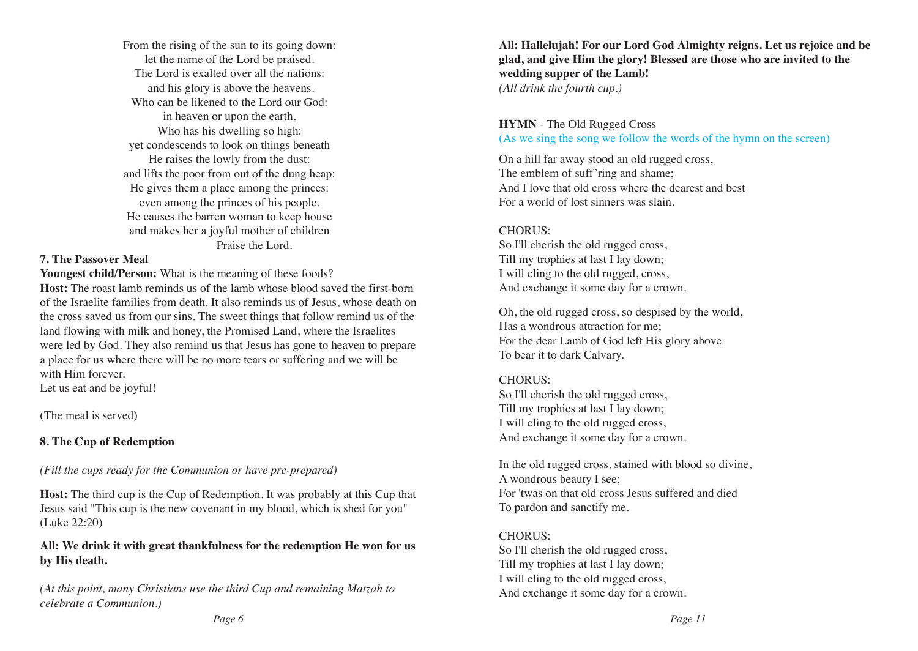From the rising of the sun to its going down: let the name of the Lord be praised. The Lord is exalted over all the nations: and his glory is above the heavens. Who can be likened to the Lord our God: in heaven or upon the earth. Who has his dwelling so high: yet condescends to look on things beneath He raises the lowly from the dust: and lifts the poor from out of the dung heap: He gives them a place among the princes: even among the princes of his people. He causes the barren woman to keep house and makes her a joyful mother of children Praise the Lord.

#### **7. The Passover Meal**

**Youngest child/Person:** What is the meaning of these foods?

**Host:** The roast lamb reminds us of the lamb whose blood saved the first-born of the Israelite families from death. It also reminds us of Jesus, whose death on the cross saved us from our sins. The sweet things that follow remind us of the land flowing with milk and honey, the Promised Land, where the Israelites were led by God. They also remind us that Jesus has gone to heaven to prepare a place for us where there will be no more tears or suffering and we will be with Him forever.

Let us eat and be joyful!

(The meal is served)

#### **8. The Cup of Redemption**

*(Fill the cups ready for the Communion or have pre-prepared)*

**Host:** The third cup is the Cup of Redemption. It was probably at this Cup that Jesus said "This cup is the new covenant in my blood, which is shed for you" (Luke 22:20)

#### **All: We drink it with great thankfulness for the redemption He won for us by His death.**

*(At this point, many Christians use the third Cup and remaining Matzah to celebrate a Communion.)*

**All: Hallelujah! For our Lord God Almighty reigns. Let us rejoice and be glad, and give Him the glory! Blessed are those who are invited to the wedding supper of the Lamb!**  *(All drink the fourth cup.)*

#### **HYMN** - The Old Rugged Cross (As we sing the song we follow the words of the hymn on the screen)

On a hill far away stood an old rugged cross, The emblem of suff'ring and shame; And I love that old cross where the dearest and best For a world of lost sinners was slain.

#### CHORUS:

So I'll cherish the old rugged cross, Till my trophies at last I lay down; I will cling to the old rugged, cross, And exchange it some day for a crown.

Oh, the old rugged cross, so despised by the world, Has a wondrous attraction for me; For the dear Lamb of God left His glory above To bear it to dark Calvary.

#### CHORUS:

So I'll cherish the old rugged cross, Till my trophies at last I lay down; I will cling to the old rugged cross, And exchange it some day for a crown.

In the old rugged cross, stained with blood so divine, A wondrous beauty I see; For 'twas on that old cross Jesus suffered and died To pardon and sanctify me.

#### CHORUS:

So I'll cherish the old rugged cross, Till my trophies at last I lay down; I will cling to the old rugged cross, And exchange it some day for a crown.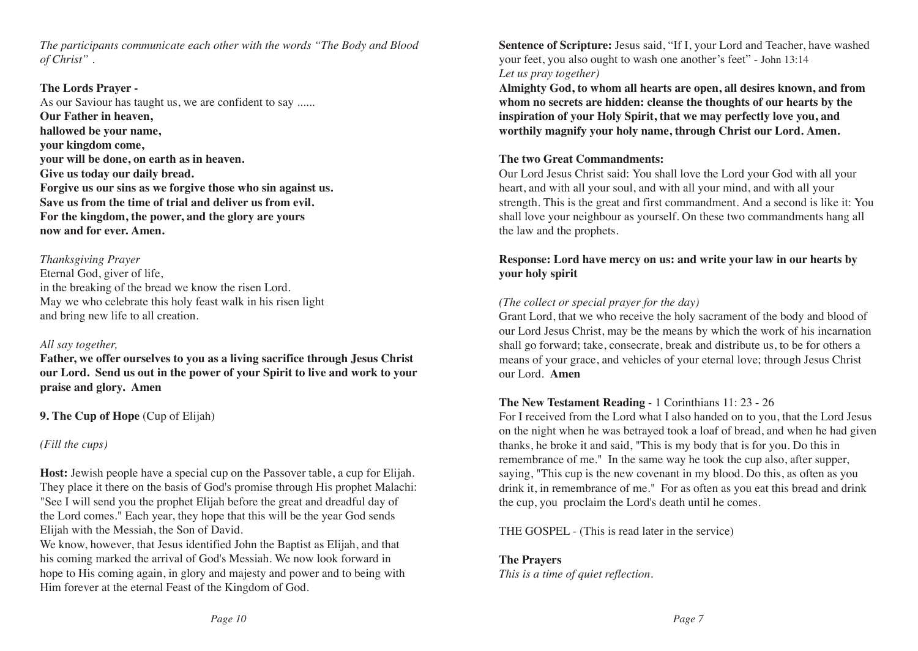*The participants communicate each other with the words "The Body and Blood of Christ" .* 

#### **The Lords Prayer -**

As our Saviour has taught us, we are confident to say ...... **Our Father in heaven, hallowed be your name, your kingdom come, your will be done, on earth as in heaven. Give us today our daily bread. Forgive us our sins as we forgive those who sin against us. Save us from the time of trial and deliver us from evil. For the kingdom, the power, and the glory are yours now and for ever. Amen.** 

#### *Thanksgiving Prayer*

Eternal God, giver of life, in the breaking of the bread we know the risen Lord. May we who celebrate this holy feast walk in his risen light and bring new life to all creation.

#### *All say together,*

**Father, we offer ourselves to you as a living sacrifice through Jesus Christ our Lord. Send us out in the power of your Spirit to live and work to your praise and glory. Amen**

**9. The Cup of Hope** (Cup of Elijah)

#### *(Fill the cups)*

**Host:** Jewish people have a special cup on the Passover table, a cup for Elijah. They place it there on the basis of God's promise through His prophet Malachi: "See I will send you the prophet Elijah before the great and dreadful day of the Lord comes." Each year, they hope that this will be the year God sends Elijah with the Messiah, the Son of David.

We know, however, that Jesus identified John the Baptist as Elijah, and that his coming marked the arrival of God's Messiah. We now look forward in hope to His coming again, in glory and majesty and power and to being with Him forever at the eternal Feast of the Kingdom of God.

**Sentence of Scripture:** Jesus said, "If I, your Lord and Teacher, have washed your feet, you also ought to wash one another's feet" - John 13:14 *Let us pray together)* 

**Almighty God, to whom all hearts are open, all desires known, and from whom no secrets are hidden: cleanse the thoughts of our hearts by the inspiration of your Holy Spirit, that we may perfectly love you, and worthily magnify your holy name, through Christ our Lord. Amen.**

#### **The two Great Commandments:**

Our Lord Jesus Christ said: You shall love the Lord your God with all your heart, and with all your soul, and with all your mind, and with all your strength. This is the great and first commandment. And a second is like it: You shall love your neighbour as yourself. On these two commandments hang all the law and the prophets.

#### **Response: Lord have mercy on us: and write your law in our hearts by your holy spirit**

#### *(The collect or special prayer for the day)*

Grant Lord, that we who receive the holy sacrament of the body and blood of our Lord Jesus Christ, may be the means by which the work of his incarnation shall go forward; take, consecrate, break and distribute us, to be for others a means of your grace, and vehicles of your eternal love; through Jesus Christ our Lord. **Amen** 

#### **The New Testament Reading** - 1 Corinthians 11: 23 - 26

For I received from the Lord what I also handed on to you, that the Lord Jesus on the night when he was betrayed took a loaf of bread, and when he had given thanks, he broke it and said, "This is my body that is for you. Do this in remembrance of me." In the same way he took the cup also, after supper, saying, "This cup is the new covenant in my blood. Do this, as often as you drink it, in remembrance of me." For as often as you eat this bread and drink the cup, you proclaim the Lord's death until he comes.

THE GOSPEL - (This is read later in the service)

## **The Prayers**

*This is a time of quiet reflection.*